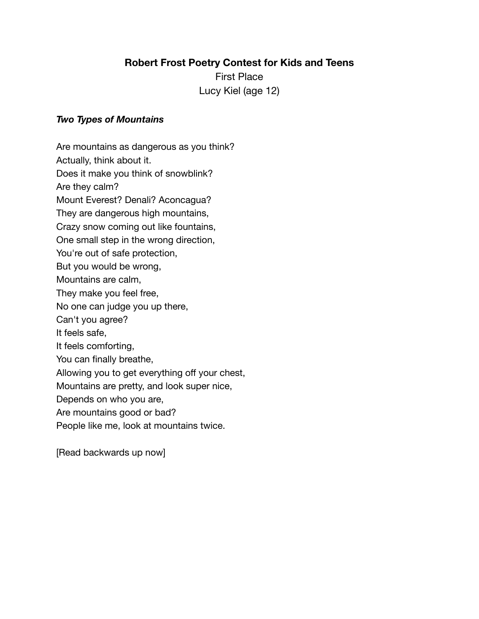First Place Lucy Kiel (age 12)

### *Two Types of Mountains*

Are mountains as dangerous as you think? Actually, think about it. Does it make you think of snowblink? Are they calm? Mount Everest? Denali? Aconcagua? They are dangerous high mountains, Crazy snow coming out like fountains, One small step in the wrong direction, You're out of safe protection, But you would be wrong, Mountains are calm, They make you feel free, No one can judge you up there, Can't you agree? It feels safe, It feels comforting, You can finally breathe, Allowing you to get everything off your chest, Mountains are pretty, and look super nice, Depends on who you are, Are mountains good or bad? People like me, look at mountains twice.

[Read backwards up now]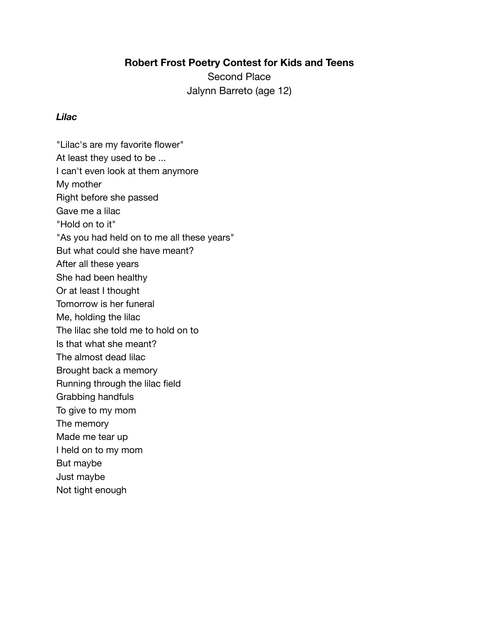Second Place Jalynn Barreto (age 12)

#### *Lilac*

"Lilac's are my favorite flower" At least they used to be ... I can't even look at them anymore My mother Right before she passed Gave me a lilac "Hold on to it" "As you had held on to me all these years" But what could she have meant? After all these years She had been healthy Or at least I thought Tomorrow is her funeral Me, holding the lilac The lilac she told me to hold on to Is that what she meant? The almost dead lilac Brought back a memory Running through the lilac field Grabbing handfuls To give to my mom The memory Made me tear up I held on to my mom But maybe Just maybe Not tight enough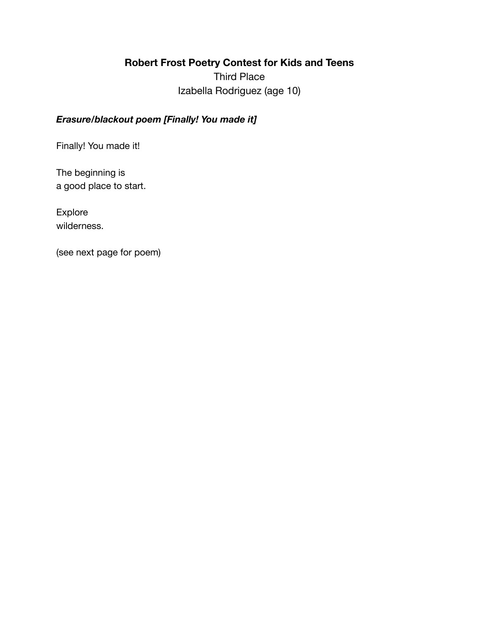Third Place Izabella Rodriguez (age 10)

## *Erasure/blackout poem [Finally! You made it]*

Finally! You made it!

The beginning is a good place to start.

Explore wilderness.

(see next page for poem)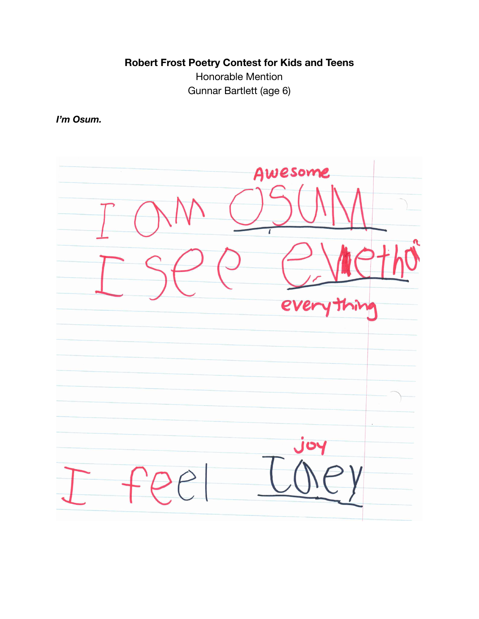Honorable Mention Gunnar Bartlett (age 6)

*I'm Osum.*

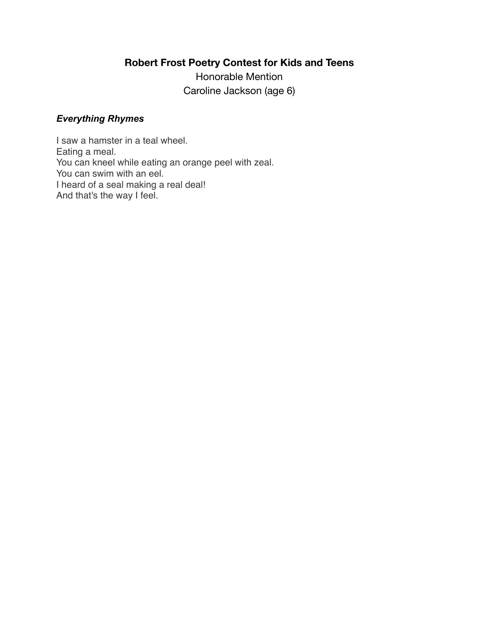Honorable Mention Caroline Jackson (age 6)

### *Everything Rhymes*

I saw a hamster in a teal wheel. Eating a meal. You can kneel while eating an orange peel with zeal. You can swim with an eel. I heard of a seal making a real deal! And that's the way I feel.